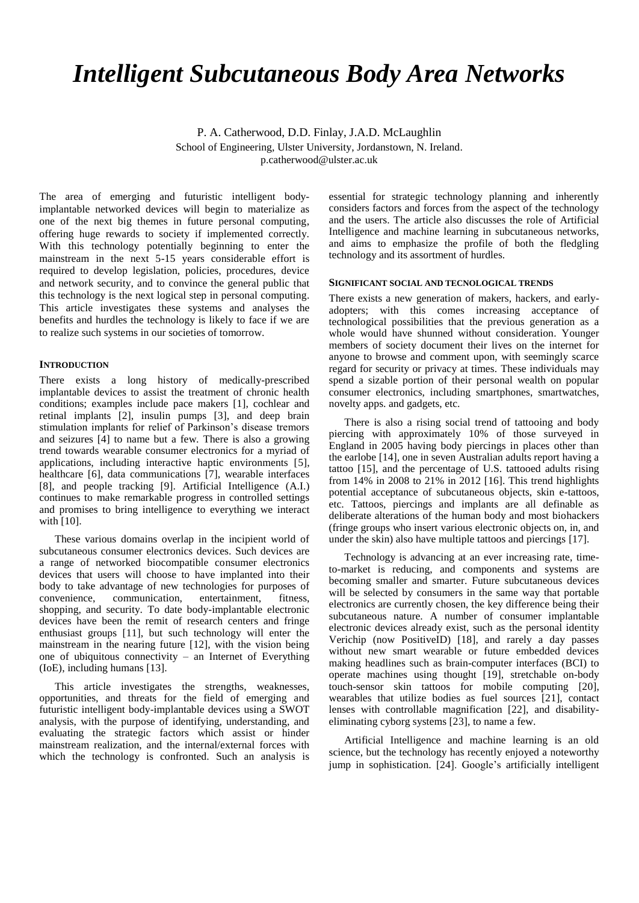# *Intelligent Subcutaneous Body Area Networks*

P. A. Catherwood, D.D. Finlay, J.A.D. McLaughlin School of Engineering, Ulster University, Jordanstown, N. Ireland. p.catherwood@ulster.ac.uk

The area of emerging and futuristic intelligent bodyimplantable networked devices will begin to materialize as one of the next big themes in future personal computing, offering huge rewards to society if implemented correctly. With this technology potentially beginning to enter the mainstream in the next 5-15 years considerable effort is required to develop legislation, policies, procedures, device and network security, and to convince the general public that this technology is the next logical step in personal computing. This article investigates these systems and analyses the benefits and hurdles the technology is likely to face if we are to realize such systems in our societies of tomorrow.

#### **INTRODUCTION**

There exists a long history of medically-prescribed implantable devices to assist the treatment of chronic health conditions; examples include pace makers [1], cochlear and retinal implants [2], insulin pumps [3], and deep brain stimulation implants for relief of Parkinson's disease tremors and seizures [4] to name but a few. There is also a growing trend towards wearable consumer electronics for a myriad of applications, including interactive haptic environments [5], healthcare [6], data communications [7], wearable interfaces [8], and people tracking [9]. Artificial Intelligence (A.I.) continues to make remarkable progress in controlled settings and promises to bring intelligence to everything we interact with [10].

These various domains overlap in the incipient world of subcutaneous consumer electronics devices. Such devices are a range of networked biocompatible consumer electronics devices that users will choose to have implanted into their body to take advantage of new technologies for purposes of convenience, communication, entertainment, fitness, shopping, and security. To date body-implantable electronic devices have been the remit of research centers and fringe enthusiast groups [11], but such technology will enter the mainstream in the nearing future [12], with the vision being one of ubiquitous connectivity – an Internet of Everything (IoE), including humans [13].

This article investigates the strengths, weaknesses, opportunities, and threats for the field of emerging and futuristic intelligent body-implantable devices using a SWOT analysis, with the purpose of identifying, understanding, and evaluating the strategic factors which assist or hinder mainstream realization, and the internal/external forces with which the technology is confronted. Such an analysis is essential for strategic technology planning and inherently considers factors and forces from the aspect of the technology and the users. The article also discusses the role of Artificial Intelligence and machine learning in subcutaneous networks, and aims to emphasize the profile of both the fledgling technology and its assortment of hurdles.

#### **SIGNIFICANT SOCIAL AND TECNOLOGICAL TRENDS**

There exists a new generation of makers, hackers, and earlyadopters; with this comes increasing acceptance of technological possibilities that the previous generation as a whole would have shunned without consideration. Younger members of society document their lives on the internet for anyone to browse and comment upon, with seemingly scarce regard for security or privacy at times. These individuals may spend a sizable portion of their personal wealth on popular consumer electronics, including smartphones, smartwatches, novelty apps. and gadgets, etc.

There is also a rising social trend of tattooing and body piercing with approximately 10% of those surveyed in England in 2005 having body piercings in places other than the earlobe [14], one in seven Australian adults report having a tattoo [15], and the percentage of U.S. tattooed adults rising from 14% in 2008 to 21% in 2012 [16]. This trend highlights potential acceptance of subcutaneous objects, skin e-tattoos, etc. Tattoos, piercings and implants are all definable as deliberate alterations of the human body and most biohackers (fringe groups who insert various electronic objects on, in, and under the skin) also have multiple tattoos and piercings [17].

Technology is advancing at an ever increasing rate, timeto-market is reducing, and components and systems are becoming smaller and smarter. Future subcutaneous devices will be selected by consumers in the same way that portable electronics are currently chosen, the key difference being their subcutaneous nature. A number of consumer implantable electronic devices already exist, such as the personal identity Verichip (now PositiveID) [18], and rarely a day passes without new smart wearable or future embedded devices making headlines such as brain-computer interfaces (BCI) to operate machines using thought [19], stretchable on-body touch-sensor skin tattoos for mobile computing [20], wearables that utilize bodies as fuel sources [21], contact lenses with controllable magnification [22], and disabilityeliminating cyborg systems [23], to name a few.

Artificial Intelligence and machine learning is an old science, but the technology has recently enjoyed a noteworthy jump in sophistication. [24]. Google's artificially intelligent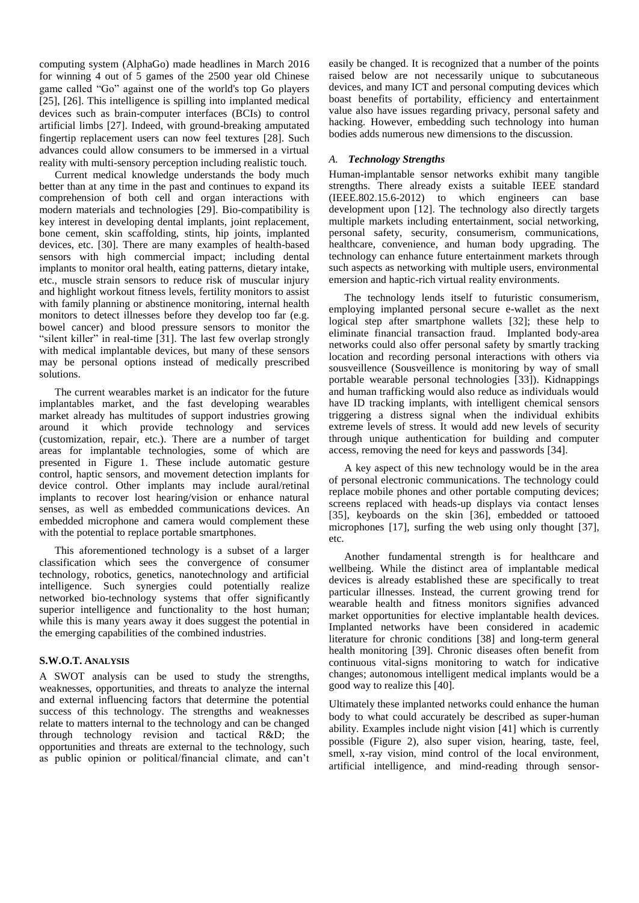computing system (AlphaGo) made headlines in March 2016 for winning 4 out of 5 games of the 2500 year old Chinese game called "Go" against one of the world's top Go players [25], [26]. This intelligence is spilling into implanted medical devices such as brain-computer interfaces (BCIs) to control artificial limbs [27]. Indeed, with ground-breaking amputated fingertip replacement users can now feel textures [28]. Such advances could allow consumers to be immersed in a virtual reality with multi-sensory perception including realistic touch.

Current medical knowledge understands the body much better than at any time in the past and continues to expand its comprehension of both cell and organ interactions with modern materials and technologies [29]. Bio-compatibility is key interest in developing dental implants, joint replacement, bone cement, skin scaffolding, stints, hip joints, implanted devices, etc. [30]. There are many examples of health-based sensors with high commercial impact; including dental implants to monitor oral health, eating patterns, dietary intake, etc., muscle strain sensors to reduce risk of muscular injury and highlight workout fitness levels, fertility monitors to assist with family planning or abstinence monitoring, internal health monitors to detect illnesses before they develop too far (e.g. bowel cancer) and blood pressure sensors to monitor the "silent killer" in real-time [31]. The last few overlap strongly with medical implantable devices, but many of these sensors may be personal options instead of medically prescribed solutions.

The current wearables market is an indicator for the future implantables market, and the fast developing wearables market already has multitudes of support industries growing around it which provide technology and services (customization, repair, etc.). There are a number of target areas for implantable technologies, some of which are presented in Figure 1. These include automatic gesture control, haptic sensors, and movement detection implants for device control. Other implants may include aural/retinal implants to recover lost hearing/vision or enhance natural senses, as well as embedded communications devices. An embedded microphone and camera would complement these with the potential to replace portable smartphones.

This aforementioned technology is a subset of a larger classification which sees the convergence of consumer technology, robotics, genetics, nanotechnology and artificial intelligence. Such synergies could potentially realize networked bio-technology systems that offer significantly superior intelligence and functionality to the host human; while this is many years away it does suggest the potential in the emerging capabilities of the combined industries.

#### **S.W.O.T. ANALYSIS**

A SWOT analysis can be used to study the strengths, weaknesses, opportunities, and threats to analyze the internal and external influencing factors that determine the potential success of this technology. The strengths and weaknesses relate to matters internal to the technology and can be changed through technology revision and tactical R&D; the opportunities and threats are external to the technology, such as public opinion or political/financial climate, and can't easily be changed. It is recognized that a number of the points raised below are not necessarily unique to subcutaneous devices, and many ICT and personal computing devices which boast benefits of portability, efficiency and entertainment value also have issues regarding privacy, personal safety and hacking. However, embedding such technology into human bodies adds numerous new dimensions to the discussion.

# *A. Technology Strengths*

Human-implantable sensor networks exhibit many tangible strengths. There already exists a suitable IEEE standard (IEEE.802.15.6-2012) to which engineers can base development upon [12]. The technology also directly targets multiple markets including entertainment, social networking, personal safety, security, consumerism, communications, healthcare, convenience, and human body upgrading. The technology can enhance future entertainment markets through such aspects as networking with multiple users, environmental emersion and haptic-rich virtual reality environments.

The technology lends itself to futuristic consumerism, employing implanted personal secure e-wallet as the next logical step after smartphone wallets [32]; these help to eliminate financial transaction fraud. Implanted body-area networks could also offer personal safety by smartly tracking location and recording personal interactions with others via sousveillence (Sousveillence is monitoring by way of small portable wearable personal technologies [33]). Kidnappings and human trafficking would also reduce as individuals would have ID tracking implants, with intelligent chemical sensors triggering a distress signal when the individual exhibits extreme levels of stress. It would add new levels of security through unique authentication for building and computer access, removing the need for keys and passwords [34].

A key aspect of this new technology would be in the area of personal electronic communications. The technology could replace mobile phones and other portable computing devices; screens replaced with heads-up displays via contact lenses [35], keyboards on the skin [36], embedded or tattooed microphones [17], surfing the web using only thought [37], etc.

Another fundamental strength is for healthcare and wellbeing. While the distinct area of implantable medical devices is already established these are specifically to treat particular illnesses. Instead, the current growing trend for wearable health and fitness monitors signifies advanced market opportunities for elective implantable health devices. Implanted networks have been considered in academic literature for chronic conditions [38] and long-term general health monitoring [39]. Chronic diseases often benefit from continuous vital-signs monitoring to watch for indicative changes; autonomous intelligent medical implants would be a good way to realize this [40].

Ultimately these implanted networks could enhance the human body to what could accurately be described as super-human ability. Examples include night vision [41] which is currently possible (Figure 2), also super vision, hearing, taste, feel, smell, x-ray vision, mind control of the local environment, artificial intelligence, and mind-reading through sensor-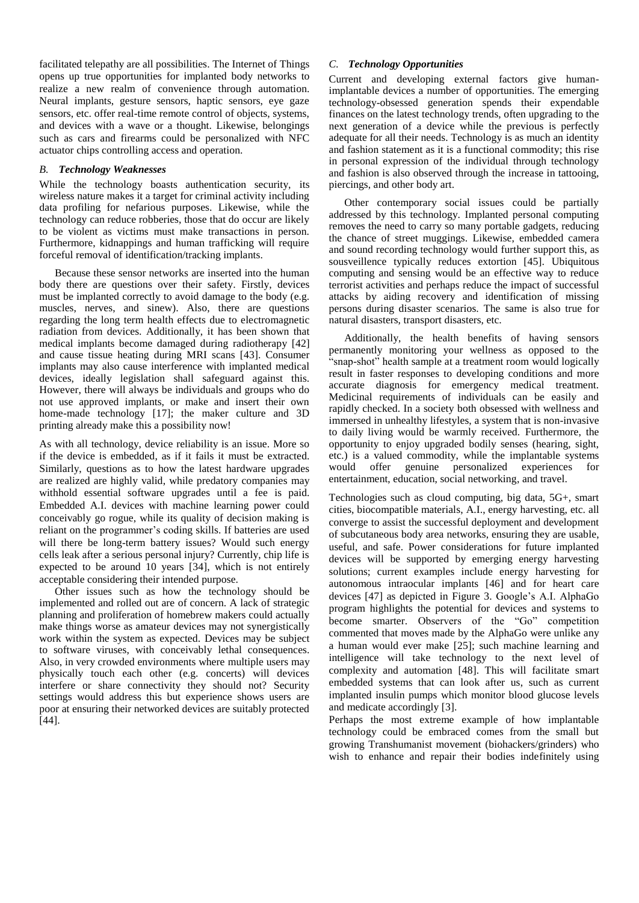facilitated telepathy are all possibilities. The Internet of Things opens up true opportunities for implanted body networks to realize a new realm of convenience through automation. Neural implants, gesture sensors, haptic sensors, eye gaze sensors, etc. offer real-time remote control of objects, systems, and devices with a wave or a thought. Likewise, belongings such as cars and firearms could be personalized with NFC actuator chips controlling access and operation.

# *B. Technology Weaknesses*

While the technology boasts authentication security, its wireless nature makes it a target for criminal activity including data profiling for nefarious purposes. Likewise, while the technology can reduce robberies, those that do occur are likely to be violent as victims must make transactions in person. Furthermore, kidnappings and human trafficking will require forceful removal of identification/tracking implants.

Because these sensor networks are inserted into the human body there are questions over their safety. Firstly, devices must be implanted correctly to avoid damage to the body (e.g. muscles, nerves, and sinew). Also, there are questions regarding the long term health effects due to electromagnetic radiation from devices. Additionally, it has been shown that medical implants become damaged during radiotherapy [42] and cause tissue heating during MRI scans [43]. Consumer implants may also cause interference with implanted medical devices, ideally legislation shall safeguard against this. However, there will always be individuals and groups who do not use approved implants, or make and insert their own home-made technology [17]; the maker culture and 3D printing already make this a possibility now!

As with all technology, device reliability is an issue. More so if the device is embedded, as if it fails it must be extracted. Similarly, questions as to how the latest hardware upgrades are realized are highly valid, while predatory companies may withhold essential software upgrades until a fee is paid. Embedded A.I. devices with machine learning power could conceivably go rogue, while its quality of decision making is reliant on the programmer's coding skills. If batteries are used will there be long-term battery issues? Would such energy cells leak after a serious personal injury? Currently, chip life is expected to be around 10 years [34], which is not entirely acceptable considering their intended purpose.

Other issues such as how the technology should be implemented and rolled out are of concern. A lack of strategic planning and proliferation of homebrew makers could actually make things worse as amateur devices may not synergistically work within the system as expected. Devices may be subject to software viruses, with conceivably lethal consequences. Also, in very crowded environments where multiple users may physically touch each other (e.g. concerts) will devices interfere or share connectivity they should not? Security settings would address this but experience shows users are poor at ensuring their networked devices are suitably protected [44].

# *C. Technology Opportunities*

Current and developing external factors give humanimplantable devices a number of opportunities. The emerging technology-obsessed generation spends their expendable finances on the latest technology trends, often upgrading to the next generation of a device while the previous is perfectly adequate for all their needs. Technology is as much an identity and fashion statement as it is a functional commodity; this rise in personal expression of the individual through technology and fashion is also observed through the increase in tattooing, piercings, and other body art.

Other contemporary social issues could be partially addressed by this technology. Implanted personal computing removes the need to carry so many portable gadgets, reducing the chance of street muggings. Likewise, embedded camera and sound recording technology would further support this, as sousveillence typically reduces extortion [45]. Ubiquitous computing and sensing would be an effective way to reduce terrorist activities and perhaps reduce the impact of successful attacks by aiding recovery and identification of missing persons during disaster scenarios. The same is also true for natural disasters, transport disasters, etc.

Additionally, the health benefits of having sensors permanently monitoring your wellness as opposed to the "snap-shot" health sample at a treatment room would logically result in faster responses to developing conditions and more accurate diagnosis for emergency medical treatment. Medicinal requirements of individuals can be easily and rapidly checked. In a society both obsessed with wellness and immersed in unhealthy lifestyles, a system that is non-invasive to daily living would be warmly received. Furthermore, the opportunity to enjoy upgraded bodily senses (hearing, sight, etc.) is a valued commodity, while the implantable systems would offer genuine personalized experiences for entertainment, education, social networking, and travel.

Technologies such as cloud computing, big data, 5G+, smart cities, biocompatible materials, A.I., energy harvesting, etc. all converge to assist the successful deployment and development of subcutaneous body area networks, ensuring they are usable, useful, and safe. Power considerations for future implanted devices will be supported by emerging energy harvesting solutions; current examples include energy harvesting for autonomous intraocular implants [46] and for heart care devices [47] as depicted in Figure 3. Google's A.I. AlphaGo program highlights the potential for devices and systems to become smarter. Observers of the "Go" competition commented that moves made by the AlphaGo were unlike any a human would ever make [25]; such machine learning and intelligence will take technology to the next level of complexity and automation [48]. This will facilitate smart embedded systems that can look after us, such as current implanted insulin pumps which monitor blood glucose levels and medicate accordingly [3].

Perhaps the most extreme example of how implantable technology could be embraced comes from the small but growing Transhumanist movement (biohackers/grinders) who wish to enhance and repair their bodies indefinitely using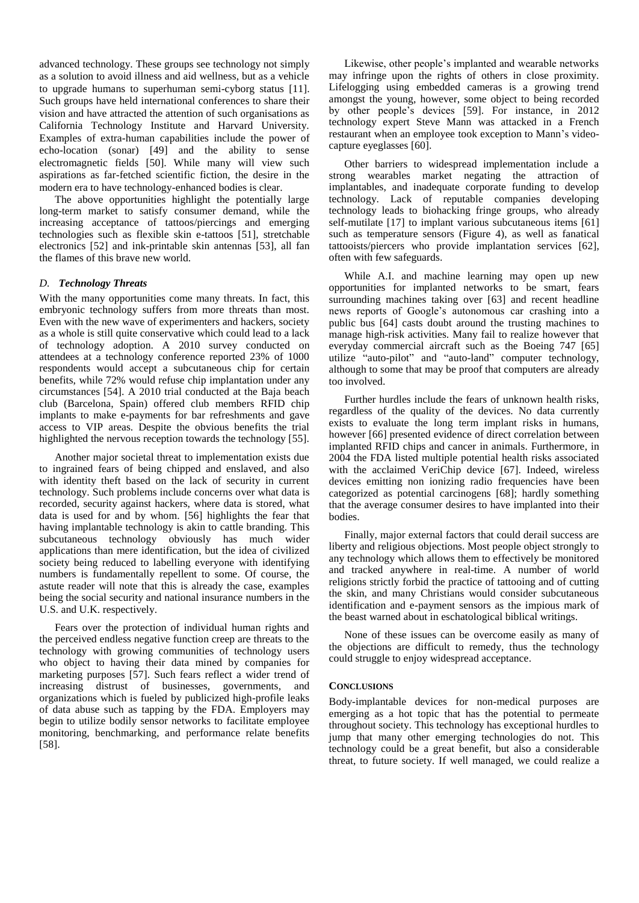advanced technology. These groups see technology not simply as a solution to avoid illness and aid wellness, but as a vehicle to upgrade humans to superhuman semi-cyborg status [11]. Such groups have held international conferences to share their vision and have attracted the attention of such organisations as California Technology Institute and Harvard University. Examples of extra-human capabilities include the power of echo-location (sonar) [49] and the ability to sense electromagnetic fields [50]. While many will view such aspirations as far-fetched scientific fiction, the desire in the modern era to have technology-enhanced bodies is clear.

The above opportunities highlight the potentially large long-term market to satisfy consumer demand, while the increasing acceptance of tattoos/piercings and emerging technologies such as flexible skin e-tattoos [51], stretchable electronics [52] and ink-printable skin antennas [53], all fan the flames of this brave new world.

## *D. Technology Threats*

With the many opportunities come many threats. In fact, this embryonic technology suffers from more threats than most. Even with the new wave of experimenters and hackers, society as a whole is still quite conservative which could lead to a lack of technology adoption. A 2010 survey conducted on attendees at a technology conference reported 23% of 1000 respondents would accept a subcutaneous chip for certain benefits, while 72% would refuse chip implantation under any circumstances [54]. A 2010 trial conducted at the Baja beach club (Barcelona, Spain) offered club members RFID chip implants to make e-payments for bar refreshments and gave access to VIP areas. Despite the obvious benefits the trial highlighted the nervous reception towards the technology [55].

Another major societal threat to implementation exists due to ingrained fears of being chipped and enslaved, and also with identity theft based on the lack of security in current technology. Such problems include concerns over what data is recorded, security against hackers, where data is stored, what data is used for and by whom. [56] highlights the fear that having implantable technology is akin to cattle branding. This subcutaneous technology obviously has much wider applications than mere identification, but the idea of civilized society being reduced to labelling everyone with identifying numbers is fundamentally repellent to some. Of course, the astute reader will note that this is already the case, examples being the social security and national insurance numbers in the U.S. and U.K. respectively.

Fears over the protection of individual human rights and the perceived endless negative function creep are threats to the technology with growing communities of technology users who object to having their data mined by companies for marketing purposes [57]. Such fears reflect a wider trend of increasing distrust of businesses, governments, and organizations which is fueled by publicized high-profile leaks of data abuse such as tapping by the FDA. Employers may begin to utilize bodily sensor networks to facilitate employee monitoring, benchmarking, and performance relate benefits [58].

Likewise, other people's implanted and wearable networks may infringe upon the rights of others in close proximity. Lifelogging using embedded cameras is a growing trend amongst the young, however, some object to being recorded by other people's devices [59]. For instance, in 2012 technology expert Steve Mann was attacked in a French restaurant when an employee took exception to Mann's videocapture eyeglasses [60].

Other barriers to widespread implementation include a strong wearables market negating the attraction of implantables, and inadequate corporate funding to develop technology. Lack of reputable companies developing technology leads to biohacking fringe groups, who already self-mutilate [17] to implant various subcutaneous items [61] such as temperature sensors (Figure 4), as well as fanatical tattooists/piercers who provide implantation services [62], often with few safeguards.

While A.I. and machine learning may open up new opportunities for implanted networks to be smart, fears surrounding machines taking over [63] and recent headline news reports of Google's autonomous car crashing into a public bus [64] casts doubt around the trusting machines to manage high-risk activities. Many fail to realize however that everyday commercial aircraft such as the Boeing 747 [65] utilize "auto-pilot" and "auto-land" computer technology, although to some that may be proof that computers are already too involved.

Further hurdles include the fears of unknown health risks, regardless of the quality of the devices. No data currently exists to evaluate the long term implant risks in humans, however [66] presented evidence of direct correlation between implanted RFID chips and cancer in animals. Furthermore, in 2004 the FDA listed multiple potential health risks associated with the acclaimed VeriChip device [67]. Indeed, wireless devices emitting non ionizing radio frequencies have been categorized as potential carcinogens [68]; hardly something that the average consumer desires to have implanted into their bodies.

Finally, major external factors that could derail success are liberty and religious objections. Most people object strongly to any technology which allows them to effectively be monitored and tracked anywhere in real-time. A number of world religions strictly forbid the practice of tattooing and of cutting the skin, and many Christians would consider subcutaneous identification and e-payment sensors as the impious mark of the beast warned about in eschatological biblical writings.

None of these issues can be overcome easily as many of the objections are difficult to remedy, thus the technology could struggle to enjoy widespread acceptance.

## **CONCLUSIONS**

Body-implantable devices for non-medical purposes are emerging as a hot topic that has the potential to permeate throughout society. This technology has exceptional hurdles to jump that many other emerging technologies do not. This technology could be a great benefit, but also a considerable threat, to future society. If well managed, we could realize a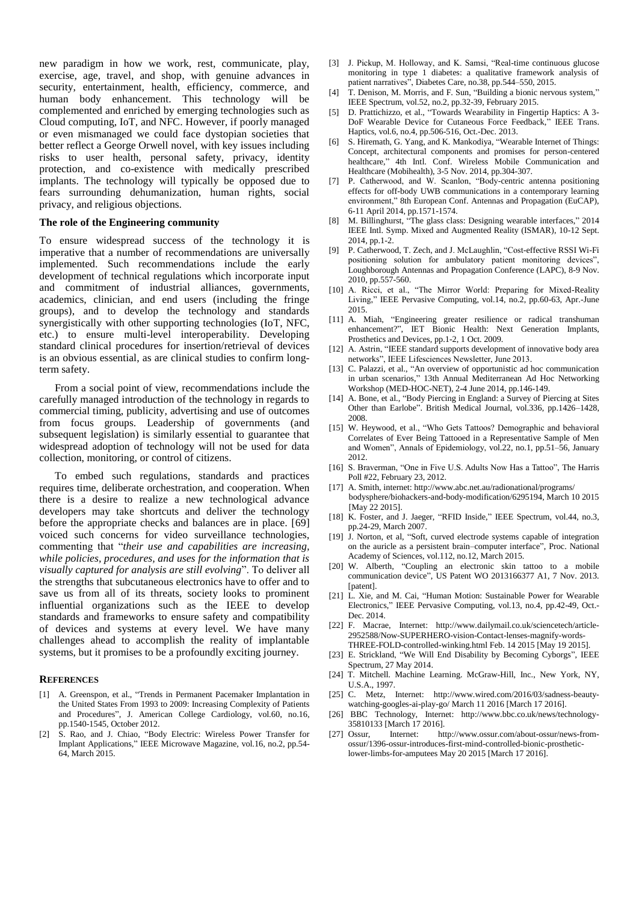new paradigm in how we work, rest, communicate, play, exercise, age, travel, and shop, with genuine advances in security, entertainment, health, efficiency, commerce, and human body enhancement. This technology will be complemented and enriched by emerging technologies such as Cloud computing, IoT, and NFC. However, if poorly managed or even mismanaged we could face dystopian societies that better reflect a George Orwell novel, with key issues including risks to user health, personal safety, privacy, identity protection, and co-existence with medically prescribed implants. The technology will typically be opposed due to fears surrounding dehumanization, human rights, social privacy, and religious objections.

#### **The role of the Engineering community**

To ensure widespread success of the technology it is imperative that a number of recommendations are universally implemented. Such recommendations include the early development of technical regulations which incorporate input and commitment of industrial alliances, governments, academics, clinician, and end users (including the fringe groups), and to develop the technology and standards synergistically with other supporting technologies (IoT, NFC, etc.) to ensure multi-level interoperability. Developing standard clinical procedures for insertion/retrieval of devices is an obvious essential, as are clinical studies to confirm longterm safety.

From a social point of view, recommendations include the carefully managed introduction of the technology in regards to commercial timing, publicity, advertising and use of outcomes from focus groups. Leadership of governments (and subsequent legislation) is similarly essential to guarantee that widespread adoption of technology will not be used for data collection, monitoring, or control of citizens.

To embed such regulations, standards and practices requires time, deliberate orchestration, and cooperation. When there is a desire to realize a new technological advance developers may take shortcuts and deliver the technology before the appropriate checks and balances are in place. [69] voiced such concerns for video surveillance technologies, commenting that "*their use and capabilities are increasing, while policies, procedures, and uses for the information that is visually captured for analysis are still evolving*". To deliver all the strengths that subcutaneous electronics have to offer and to save us from all of its threats, society looks to prominent influential organizations such as the IEEE to develop standards and frameworks to ensure safety and compatibility of devices and systems at every level. We have many challenges ahead to accomplish the reality of implantable systems, but it promises to be a profoundly exciting journey.

#### **REFERENCES**

- [1] A. Greenspon, et al., "Trends in Permanent Pacemaker Implantation in the United States From 1993 to 2009: Increasing Complexity of Patients and Procedures", J. American College Cardiology, vol.60, no.16, pp.1540-1545, October 2012.
- [2] S. Rao, and J. Chiao, "Body Electric: Wireless Power Transfer for Implant Applications," IEEE Microwave Magazine, vol.16, no.2, pp.54- 64, March 2015.
- [3] J. Pickup, M. Holloway, and K. Samsi, "Real-time continuous glucose monitoring in type 1 diabetes: a qualitative framework analysis of patient narratives", Diabetes Care, no.38, pp.544–550, 2015.
- T. Denison, M. Morris, and F. Sun, "Building a bionic nervous system," IEEE Spectrum, vol.52, no.2, pp.32-39, February 2015.
- [5] D. Prattichizzo, et al., "Towards Wearability in Fingertip Haptics: A 3- DoF Wearable Device for Cutaneous Force Feedback," IEEE Trans. Haptics, vol.6, no.4, pp.506-516, Oct.-Dec. 2013.
- [6] S. Hiremath, G. Yang, and K. Mankodiya, "Wearable Internet of Things: Concept, architectural components and promises for person-centered healthcare," 4th Intl. Conf. Wireless Mobile Communication and Healthcare (Mobihealth), 3-5 Nov. 2014, pp.304-307.
- [7] P. Catherwood, and W. Scanlon, "Body-centric antenna positioning effects for off-body UWB communications in a contemporary learning environment," 8th European Conf. Antennas and Propagation (EuCAP), 6-11 April 2014, pp.1571-1574.
- [8] M. Billinghurst, "The glass class: Designing wearable interfaces," 2014 IEEE Intl. Symp. Mixed and Augmented Reality (ISMAR), 10-12 Sept. 2014, pp.1-2.
- [9] P. Catherwood, T. Zech, and J. McLaughlin, "Cost-effective RSSI Wi-Fi positioning solution for ambulatory patient monitoring devices", Loughborough Antennas and Propagation Conference (LAPC), 8-9 Nov. 2010, pp.557-560.
- [10] A. Ricci, et al., "The Mirror World: Preparing for Mixed-Reality Living," IEEE Pervasive Computing, vol.14, no.2, pp.60-63, Apr.-June 2015.
- [11] A. Miah, "Engineering greater resilience or radical transhuman enhancement?", IET Bionic Health: Next Generation Implants, Prosthetics and Devices, pp.1-2, 1 Oct. 2009.
- [12] A. Astrin, ["IEEE standard supports development of innovative body area](http://lifesciences.ieee.org/publications/newsletter/june-2013/346-ieee-standard-supports-development-of-innovative-body-area-networks)  [networks"](http://lifesciences.ieee.org/publications/newsletter/june-2013/346-ieee-standard-supports-development-of-innovative-body-area-networks), IEEE Lifesciences Newsletter, June 2013.
- [13] C. Palazzi, et al., "An overview of opportunistic ad hoc communication in urban scenarios," 13th Annual Mediterranean Ad Hoc Networking Workshop (MED-HOC-NET), 2-4 June 2014, pp.146-149.
- [14] A. Bone, et al., "Body Piercing in England: a Survey of Piercing at Sites Other than Earlobe". British Medical Journal, vol.336, pp.1426–1428, 2008.
- [15] W. Heywood, et al., "Who Gets Tattoos? Demographic and behavioral Correlates of Ever Being Tattooed in a Representative Sample of Men and Women", Annals of Epidemiology, vol.22, no.1, pp.51–56, January 2012.
- [16] S. Braverman, "One in Five U.S. Adults Now Has a Tattoo", The Harris Poll #22, February 23, 2012.
- [17] A. Smith, internet: http://www.abc.net.au/radionational/programs/ bodysphere/biohackers-and-body-modification/6295194, March 10 2015 [May 22 2015].
- [18] K. Foster, and J. Jaeger, "RFID Inside," IEEE Spectrum, vol.44, no.3, pp.24-29, March 2007.
- [19] J. Norton, et al, "Soft, curved electrode systems capable of integration on the auricle as a persistent brain–computer interface", Proc. National Academy of Sciences, vol.112, no.12, March 2015.
- [20] W. Alberth, "Coupling an electronic skin tattoo to a mobile communication device", US Patent WO 2013166377 A1, 7 Nov. 2013. [patent].
- [21] L. Xie, and M. Cai, "Human Motion: Sustainable Power for Wearable Electronics," IEEE Pervasive Computing, vol.13, no.4, pp.42-49, Oct.- Dec. 2014.
- [22] F. Macrae, Internet: [http://www.dailymail.co.uk/sciencetech/article-](http://www.dailymail.co.uk/sciencetech/article-2952588/Now-SUPERHERO-vision-Contact-lenses-magnify-words-THREE-FOLD-controlled-winking.html)[2952588/Now-SUPERHERO-vision-Contact-lenses-magnify-words-](http://www.dailymail.co.uk/sciencetech/article-2952588/Now-SUPERHERO-vision-Contact-lenses-magnify-words-THREE-FOLD-controlled-winking.html)[THREE-FOLD-controlled-winking.html](http://www.dailymail.co.uk/sciencetech/article-2952588/Now-SUPERHERO-vision-Contact-lenses-magnify-words-THREE-FOLD-controlled-winking.html) Feb. 14 2015 [May 19 2015].
- [23] E. Strickland, "We Will End Disability by Becoming Cyborgs", IEEE Spectrum, 27 May 2014.
- [24] T. Mitchell. Machine Learning. McGraw-Hill, Inc., New York, NY, U.S.A., 1997.
- [25] C. Metz, Internet: [http://www.wired.com/2016/03/sadness-beauty](http://www.wired.com/2016/03/sadness-beauty-watching-googles-ai-play-go/)[watching-googles-ai-play-go/](http://www.wired.com/2016/03/sadness-beauty-watching-googles-ai-play-go/) March 11 2016 [March 17 2016].
- [26] BBC Technology, Internet: http://www.bbc.co.uk/news/technology-35810133 [March 17 2016].
- [27] Ossur, Internet: http://www.ossur.com/about-ossur/news-fromossur/1396-ossur-introduces-first-mind-controlled-bionic-prostheticlower-limbs-for-amputees May 20 2015 [March 17 2016].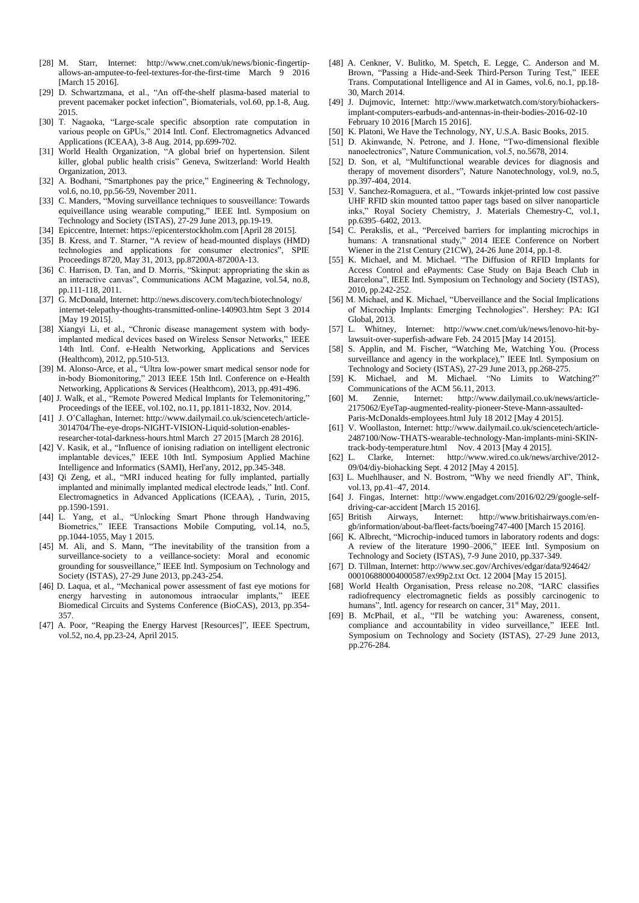- [28] M. Starr, Internet: [http://www.cnet.com/uk/news/bionic-fingertip](http://www.cnet.com/uk/news/bionic-fingertip-allows-an-amputee-to-feel-textures-for-the-first-time/)[allows-an-amputee-to-feel-textures-for-the-first-time](http://www.cnet.com/uk/news/bionic-fingertip-allows-an-amputee-to-feel-textures-for-the-first-time/) March 9 2016 [March 15 2016].
- [29] D. Schwartzmana, et al., "An off-the-shelf plasma-based material to prevent pacemaker pocket infection", Biomaterials, vol.60, pp.1-8, Aug. 2015.
- [30] T. Nagaoka, "Large-scale specific absorption rate computation in various people on GPUs," 2014 Intl. Conf. Electromagnetics Advanced Applications (ICEAA), 3-8 Aug. 2014, pp.699-702.
- [31] World Health Organization, "A global brief on hypertension. Silent killer, global public health crisis" Geneva, Switzerland: World Health Organization, 2013.
- [32] A. Bodhani, "Smartphones pay the price," Engineering & Technology, vol.6, no.10, pp.56-59, November 2011.
- [33] C. Manders, "Moving surveillance techniques to sousveillance: Towards equiveillance using wearable computing," IEEE Intl. Symposium on Technology and Society (ISTAS), 27-29 June 2013, pp.19-19.
- [34] Epiccentre, Internet: [https://epicenterstockholm.com](https://epicenterstockholm.com/) [April 28 2015].
- [35] B. Kress, and T. Starner, "A review of head-mounted displays (HMD) technologies and applications for consumer electronics", SPIE Proceedings 8720, May 31, 2013, pp.87200A-87200A-13.
- [36] C. Harrison, D. Tan, and D. Morris, "Skinput: appropriating the skin as an interactive canvas", Communications ACM Magazine, vol.54, no.8, pp.111-118, 2011.
- [37] G. McDonald, Internet: http://news.discovery.com/tech/biotechnology/ internet-telepathy-thoughts-transmitted-online-140903.htm Sept 3 2014 [May 19 2015].
- [38] Xiangyi Li, et al., "Chronic disease management system with bodyimplanted medical devices based on Wireless Sensor Networks," IEEE 14th Intl. Conf. e-Health Networking, Applications and Services (Healthcom), 2012, pp.510-513.
- [39] M. Alonso-Arce, et al., "Ultra low-power smart medical sensor node for in-body Biomonitoring," 2013 IEEE 15th Intl. Conference on e-Health Networking, Applications & Services (Healthcom), 2013, pp.491-496.
- [40] J. Walk, et al., "Remote Powered Medical Implants for Telemonitoring," Proceedings of the IEEE, vol.102, no.11, pp.1811-1832, Nov. 2014.
- [41] J. O'Callaghan, Internet: http://www.dailymail.co.uk/sciencetech/article-3014704/The-eye-drops-NIGHT-VISION-Liquid-solution-enablesresearcher-total-darkness-hours.html March 27 2015 [March 28 2016].
- [42] V. Kasik, et al., "Influence of ionising radiation on intelligent electronic implantable devices," IEEE 10th Intl. Symposium Applied Machine Intelligence and Informatics (SAMI), Herl'any, 2012, pp.345-348.
- [43] Qi Zeng, et al., "MRI induced heating for fully implanted, partially implanted and minimally implanted medical electrode leads," Intl. Conf. Electromagnetics in Advanced Applications (ICEAA), , Turin, 2015, pp.1590-1591.
- [44] L. Yang, et al., "Unlocking Smart Phone through Handwaving Biometrics," IEEE Transactions Mobile Computing, vol.14, no.5, pp.1044-1055, May 1 2015.
- [45] M. Ali, and S. Mann, "The inevitability of the transition from a surveillance-society to a veillance-society: Moral and economic grounding for sousveillance," IEEE Intl. Symposium on Technology and Society (ISTAS), 27-29 June 2013, pp.243-254.
- [46] D. Laqua, et al., "Mechanical power assessment of fast eye motions for energy harvesting in autonomous intraocular implants," IEEE Biomedical Circuits and Systems Conference (BioCAS), 2013, pp.354- 357.
- [47] A. Poor, "Reaping the Energy Harvest [Resources]", IEEE Spectrum, vol.52, no.4, pp.23-24, April 2015.
- [48] A. Cenkner, V. Bulitko, M. Spetch, E. Legge, C. Anderson and M. Brown, "Passing a Hide-and-Seek Third-Person Turing Test," IEEE Trans. Computational Intelligence and AI in Games, vol.6, no.1, pp.18- 30, March 2014.
- [49] J. Dujmovic, Internet: [http://www.marketwatch.com/story/biohackers](http://www.marketwatch.com/story/biohackers-implant-computers-earbuds-and-antennas-in-their-bodies-2016-02-10)[implant-computers-earbuds-and-antennas-in-their-bodies-2016-02-10](http://www.marketwatch.com/story/biohackers-implant-computers-earbuds-and-antennas-in-their-bodies-2016-02-10) February 10 2016 [March 15 2016].
- [50] K. Platoni[, We Have the Technology,](http://www.amazon.com/Have-Technology-Biohackers-Physicians-Transforming/dp/0465089976/?tag=alternorg08-20) NY, U.S.A. Basic Books, 2015.
- [51] D. Akinwande, N. Petrone, and J. Hone, "Two-dimensional flexible nanoelectronics", Nature Communication, vol.5, no.5678, 2014.
- [52] D. Son, et al, "Multifunctional wearable devices for diagnosis and therapy of movement disorders", Nature Nanotechnology, vol.9, no.5, pp.397-404, 2014.
- [53] V. Sanchez-Romaguera, et al., "Towards inkjet-printed low cost passive UHF RFID skin mounted tattoo paper tags based on silver nanoparticle inks," Royal Society Chemistry, J. Materials Chemestry-C, vol.1, pp.6395–6402, 2013.
- [54] C. Perakslis, et al., "Perceived barriers for implanting microchips in humans: A transnational study," 2014 IEEE Conference on Norbert Wiener in the 21st Century (21CW), 24-26 June 2014, pp.1-8.
- [55] K. Michael, and M. Michael. "The Diffusion of RFID Implants for Access Control and ePayments: Case Study on Baja Beach Club in Barcelona", IEEE Intl. Symposium on Technology and Society (ISTAS), 2010, pp.242-252.
- [56] M. Michael, and K. Michael, "Uberveillance and the Social Implications of Microchip Implants: Emerging Technologies". Hershey: PA: IGI Global, 2013.
- [57] L. Whitney, Internet: [http://www.cnet.com/uk/news/lenovo-hit-by](http://www.cnet.com/uk/news/lenovo-hit-by-lawsuit-over-superfish-adware)[lawsuit-over-superfish-adware](http://www.cnet.com/uk/news/lenovo-hit-by-lawsuit-over-superfish-adware) Feb. 24 2015 [May 14 2015].
- [58] S. Applin, and M. Fischer, "Watching Me, Watching You. (Process surveillance and agency in the workplace)," IEEE Intl. Symposium on Technology and Society (ISTAS), 27-29 June 2013, pp.268-275.
- [59] K. Michael, and M. Michael. "No Limits to Watching?" Communications of the ACM 56.11, 2013.
- [60] M. Zennie, Internet: http://www.dailymail.co.uk/news/article-2175062/EyeTap-augmented-reality-pioneer-Steve-Mann-assaulted-Paris-McDonalds-employees.html July 18 2012 [May 4 2015].
- [61] V. Woollaston, Internet: [http://www.dailymail.co.uk/sciencetech/article-](http://www.dailymail.co.uk/sciencetech/article-2487100/Now-THATS-wearable-technology-Man-implants-mini-SKIN-track-body-temperature.html)[2487100/Now-THATS-wearable-technology-Man-implants-mini-SKIN](http://www.dailymail.co.uk/sciencetech/article-2487100/Now-THATS-wearable-technology-Man-implants-mini-SKIN-track-body-temperature.html)[track-body-temperature.html](http://www.dailymail.co.uk/sciencetech/article-2487100/Now-THATS-wearable-technology-Man-implants-mini-SKIN-track-body-temperature.html) Nov. 4 2013 [May 4 2015].
- [62] L. Clarke, Internet: [http://www.wired.co.uk/news/archive/2012-](http://www.wired.co.uk/news/archive/2012-09/04/diy-biohacking) [09/04/diy-biohacking](http://www.wired.co.uk/news/archive/2012-09/04/diy-biohacking) Sept. 4 2012 [May 4 2015].
- [63] L. Muehlhauser, and N. Bostrom, "Why we need friendly AI", Think, vol.13, pp.41–47, 2014.
- [64] J. Fingas, Internet: http://www.engadget.com/2016/02/29/google-selfdriving-car-accident [March 15 2016].
- [65] British Airways, Internet: http://www.britishairways.com/engb/information/about-ba/fleet-facts/boeing747-400 [March 15 2016].
- [66] K. Albrecht, "Microchip-induced tumors in laboratory rodents and dogs: A review of the literature 1990–2006," IEEE Intl. Symposium on Technology and Society (ISTAS), 7-9 June 2010, pp.337-349.
- [67] D. Tillman, Internet: http://www.sec.gov/Archives/edgar/data/924642/ 000106880004000587/ex99p2.txt Oct. 12 2004 [May 15 2015].
- [68] World Health Organisation, Press release no.208, "IARC classifies radiofrequency electromagnetic fields as possibly carcinogenic to humans", Intl. agency for research on cancer,  $31<sup>st</sup>$  May, 2011.
- [69] B. McPhail, et al., "I'll be watching you: Awareness, consent, compliance and accountability in video surveillance," IEEE Intl. Symposium on Technology and Society (ISTAS), 27-29 June 2013, pp.276-284.